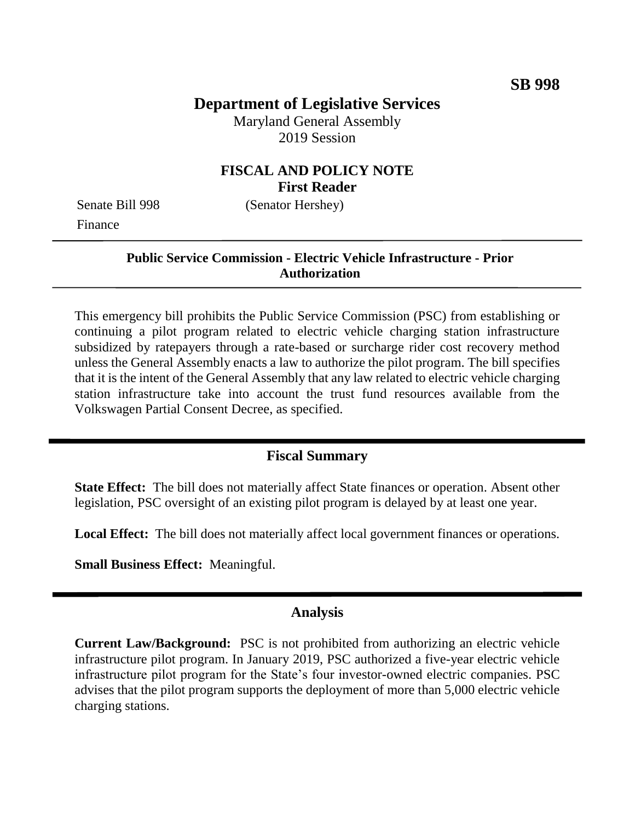# **Department of Legislative Services**

Maryland General Assembly 2019 Session

### **FISCAL AND POLICY NOTE First Reader**

Senate Bill 998 (Senator Hershey) Finance

**Public Service Commission - Electric Vehicle Infrastructure - Prior Authorization**

This emergency bill prohibits the Public Service Commission (PSC) from establishing or continuing a pilot program related to electric vehicle charging station infrastructure subsidized by ratepayers through a rate-based or surcharge rider cost recovery method unless the General Assembly enacts a law to authorize the pilot program. The bill specifies that it is the intent of the General Assembly that any law related to electric vehicle charging station infrastructure take into account the trust fund resources available from the Volkswagen Partial Consent Decree, as specified.

### **Fiscal Summary**

**State Effect:** The bill does not materially affect State finances or operation. Absent other legislation, PSC oversight of an existing pilot program is delayed by at least one year.

**Local Effect:** The bill does not materially affect local government finances or operations.

**Small Business Effect:** Meaningful.

#### **Analysis**

**Current Law/Background:** PSC is not prohibited from authorizing an electric vehicle infrastructure pilot program. In January 2019, PSC authorized a five-year electric vehicle infrastructure pilot program for the State's four investor-owned electric companies. PSC advises that the pilot program supports the deployment of more than 5,000 electric vehicle charging stations.